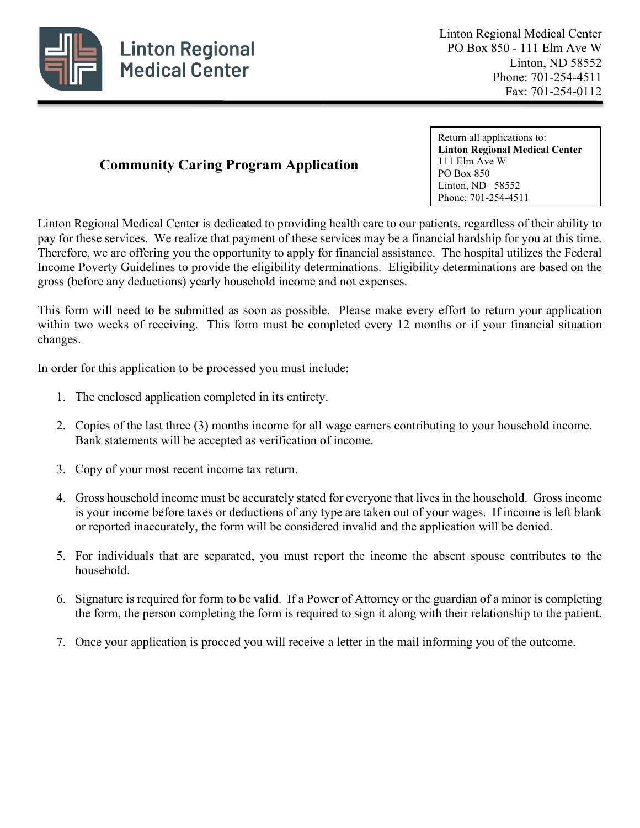

# **Community Caring Program Application**

Return all applications to: **Linton Regional Medical Center** 111 Elm Ave W PO Box 850 Linton, ND 58552 Phone: 701-254-4511

Linton Regional Medical Center is dedicated to providing health care to our patients, regardless of their ability to pay for these services. We realize that payment of these services may be a financial hardship for you at this time. Therefore, we are offering you the opportunity to apply for financial assistance. The hospital utilizes the Federal Income Poverty Guidelines to provide the eligibility determinations. Eligibility determinations are based on the gross (before any deductions) yearly household income and not expenses.

This form will need to be submitted as soon as possible. Please make every effort to return your application within two weeks of receiving. This form must be completed every 12 months or if your financial situation changes.

In order for this application to be processed you must include:

- 1. The enclosed application completed in its entirety.
- 2. Copies of the last three (3) months income for all wage earners contributing to your household income. Bank statements will be accepted as verification of income.
- 3. Copy of your most recent income tax return.
- 4. Gross household income must be accurately stated for everyone that lives in the household. Gross income is your income before taxes or deductions of any type are taken out of your wages. If income is left blank or reported inaccurately, the form will be considered invalid and the application will be denied.
- 5. For individuals that are separated, you must report the income the absent spouse contributes to the household.
- 6. Signature is required for form to be valid. If a Power of Attorney or the guardian of a minor is completing the form, the person completing the form is required to sign it along with their relationship to the patient.
- 7. Once your application is procced you will receive a letter in the mail informing you of the outcome.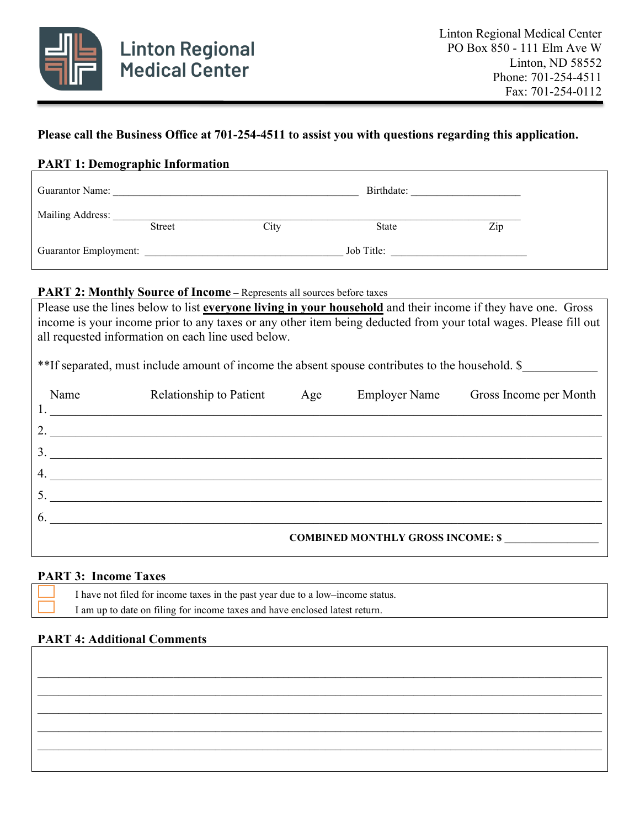

## **Please call the Business Office at 701-254-4511 to assist you with questions regarding this application.**

## **PART 1: Demographic Information**

| <b>Guarantor Name:</b>       |               |      | Birthdate:   |     |
|------------------------------|---------------|------|--------------|-----|
| Mailing Address:             | <b>Street</b> | City | <b>State</b> | Zip |
| <b>Guarantor Employment:</b> |               |      | Job Title:   |     |

#### **PART 2: Monthly Source of Income** – Represents all sources before taxes

Please use the lines below to list **everyone living in your household** and their income if they have one. Gross income is your income prior to any taxes or any other item being deducted from your total wages. Please fill out all requested information on each line used below.

\*\*If separated, must include amount of income the absent spouse contributes to the household. \$

| Name | Relationship to Patient                  | Age | <b>Employer Name</b> | Gross Income per Month |
|------|------------------------------------------|-----|----------------------|------------------------|
| 2.   |                                          |     |                      |                        |
| 3.   |                                          |     |                      |                        |
| 4.   |                                          |     |                      |                        |
|      |                                          |     |                      |                        |
| -6.  |                                          |     |                      |                        |
|      | <b>COMBINED MONTHLY GROSS INCOME: \$</b> |     |                      |                        |

#### **PART 3: Income Taxes**

| $\overline{\phantom{0}}$ | I have not filed for income taxes in the past year due to a low-income status. |
|--------------------------|--------------------------------------------------------------------------------|
|                          | I am up to date on filing for income taxes and have enclosed latest return.    |

# **PART 4: Additional Comments**